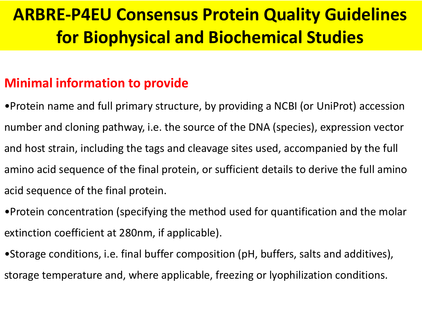# **ARBRE-P4EU Consensus Protein Quality Guidelines for Biophysical and Biochemical Studies**

# **Minimal information to provide**

- •Protein name and full primary structure, by providing a NCBI (or UniProt) accession number and cloning pathway, i.e. the source of the DNA (species), expression vector and host strain, including the tags and cleavage sites used, accompanied by the full amino acid sequence of the final protein, or sufficient details to derive the full amino acid sequence of the final protein.
- •Protein concentration (specifying the method used for quantification and the molar extinction coefficient at 280nm, if applicable).
- •Storage conditions, i.e. final buffer composition (pH, buffers, salts and additives), storage temperature and, where applicable, freezing or lyophilization conditions.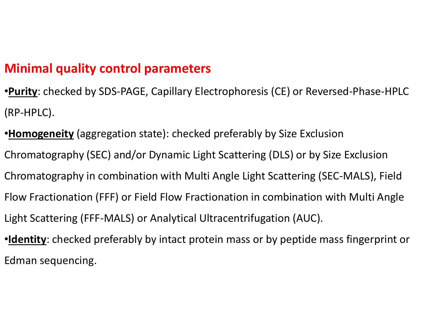# **Minimal quality control parameters**

- •**Purity**: checked by SDS-PAGE, Capillary Electrophoresis (CE) or Reversed-Phase-HPLC (RP-HPLC).
- •**Homogeneity** (aggregation state): checked preferably by Size Exclusion Chromatography (SEC) and/or Dynamic Light Scattering (DLS) or by Size Exclusion Chromatography in combination with Multi Angle Light Scattering (SEC-MALS), Field Flow Fractionation (FFF) or Field Flow Fractionation in combination with Multi Angle Light Scattering (FFF-MALS) or Analytical Ultracentrifugation (AUC).
- •**Identity**: checked preferably by intact protein mass or by peptide mass fingerprint or Edman sequencing.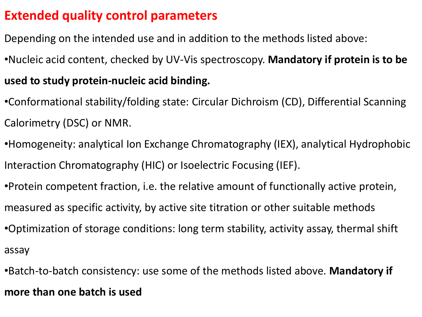# **Extended quality control parameters**

- Depending on the intended use and in addition to the methods listed above:
- •Nucleic acid content, checked by UV-Vis spectroscopy. **Mandatory if protein is to be**

## **used to study protein-nucleic acid binding.**

- •Conformational stability/folding state: Circular Dichroism (CD), Differential Scanning Calorimetry (DSC) or NMR.
- •Homogeneity: analytical Ion Exchange Chromatography (IEX), analytical Hydrophobic Interaction Chromatography (HIC) or Isoelectric Focusing (IEF).
- •Protein competent fraction, i.e. the relative amount of functionally active protein, measured as specific activity, by active site titration or other suitable methods
- •Optimization of storage conditions: long term stability, activity assay, thermal shift assay
- •Batch-to-batch consistency: use some of the methods listed above. **Mandatory if more than one batch is used**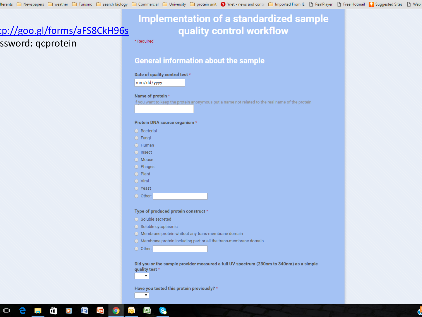### **Implementation of a standardized sample** quality control workflow

\* Required

#### **General information about the sample**

#### Date of quality control test \*

mm/dd/yyyy

#### Name of protein \*

If you want to keep the protein anonymous put a name not related to the real name of the protein

#### Protein DNA source organism \*

- ◯ Bacterial
- $\bigcirc$  Fungi
- $O$  Human
- $\bigcirc$  Insect
- $\bigcirc$  Mouse
- $O$  Phages
- $\bigcirc$  Plant
- $\bigcirc$  Viral
- $\bigcirc$  Yeast
- $\bigcirc$  Other:

#### Type of produced protein construct \*

- ◯ Soluble secreted
- Soluble cytoplasmic
- O Membrane protein whitout any trans-membrane domain
- $\bigcirc$  Membrane protein including part or all the trans-membrane domain
- $\bigcirc$  Other:

 $\pmb{\mathrm{v}}$ 

 $\pmb{\mathrm{v}}$ 

Did you or the sample provider measured a full UV spectrum (230nm to 340nm) as a simple quality test \*

Have you tested this protein previously? \*



tp://goo.gl/forms/aFS8CkH96s

ssword: qcprotein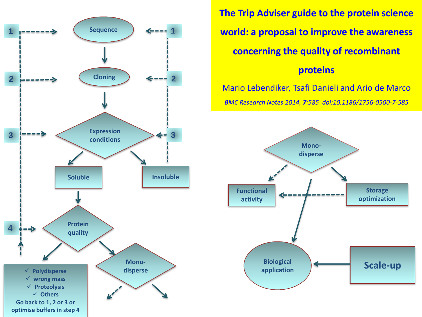

**The Trip Adviser guide to the protein science world: a proposal to improve the awareness concerning the quality of recombinant proteins**

Mario Lebendiker, Tsafi Danieli and Ario de Marco *BMC Research Notes 2014, 7:585 doi:10.1186/1756-0500-7-585*

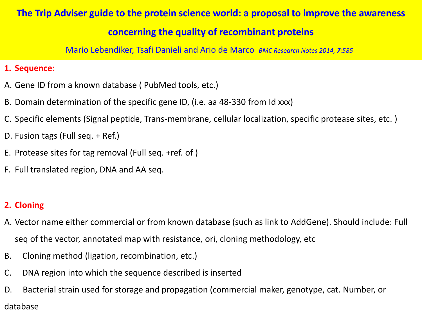### **The Trip Adviser guide to the protein science world: a proposal to improve the awareness**

### **concerning the quality of recombinant proteins**

Mario Lebendiker, Tsafi Danieli and Ario de Marco *BMC Research Notes 2014, 7:585*

#### **1. Sequence:**

- A. Gene ID from a known database ( PubMed tools, etc.)
- B. Domain determination of the specific gene ID, (i.e. aa 48-330 from Id xxx)
- C. Specific elements (Signal peptide, Trans-membrane, cellular localization, specific protease sites, etc. )
- D. Fusion tags (Full seq. + Ref.)
- E. Protease sites for tag removal (Full seq. +ref. of )
- F. Full translated region, DNA and AA seq.

### **2. Cloning**

- A. Vector name either commercial or from known database (such as link to AddGene). Should include: Full seq of the vector, annotated map with resistance, ori, cloning methodology, etc
- B. Cloning method (ligation, recombination, etc.)
- C. DNA region into which the sequence described is inserted
- D. Bacterial strain used for storage and propagation (commercial maker, genotype, cat. Number, or database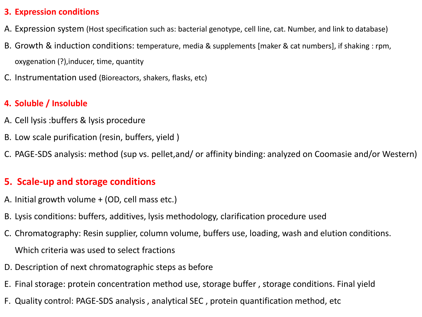#### **3. Expression conditions**

- A. Expression system (Host specification such as: bacterial genotype, cell line, cat. Number, and link to database)
- B. Growth & induction conditions: temperature, media & supplements [maker & cat numbers], if shaking : rpm, oxygenation (?),inducer, time, quantity
- C. Instrumentation used (Bioreactors, shakers, flasks, etc)

#### **4. Soluble / Insoluble**

- A. Cell lysis :buffers & lysis procedure
- B. Low scale purification (resin, buffers, yield )
- C. PAGE-SDS analysis: method (sup vs. pellet,and/ or affinity binding: analyzed on Coomasie and/or Western)

### **5. Scale-up and storage conditions**

- A. Initial growth volume + (OD, cell mass etc.)
- B. Lysis conditions: buffers, additives, lysis methodology, clarification procedure used
- C. Chromatography: Resin supplier, column volume, buffers use, loading, wash and elution conditions. Which criteria was used to select fractions
- D. Description of next chromatographic steps as before
- E. Final storage: protein concentration method use, storage buffer , storage conditions. Final yield
- F. Quality control: PAGE-SDS analysis , analytical SEC , protein quantification method, etc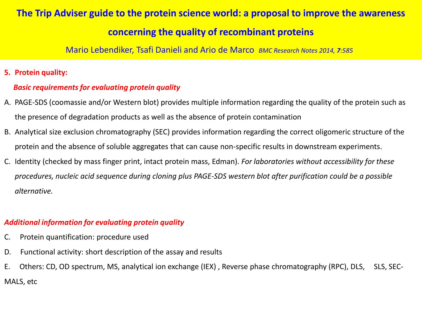#### **The Trip Adviser guide to the protein science world: a proposal to improve the awareness**

### **concerning the quality of recombinant proteins**

Mario Lebendiker, Tsafi Danieli and Ario de Marco *BMC Research Notes 2014, 7:585*

#### **5. Protein quality:**

#### *Basic requirements for evaluating protein quality*

- A. PAGE-SDS (coomassie and/or Western blot) provides multiple information regarding the quality of the protein such as the presence of degradation products as well as the absence of protein contamination
- B. Analytical size exclusion chromatography (SEC) provides information regarding the correct oligomeric structure of the protein and the absence of soluble aggregates that can cause non-specific results in downstream experiments.
- C. Identity (checked by mass finger print, intact protein mass, Edman). *For laboratories without accessibility for these procedures, nucleic acid sequence during cloning plus PAGE-SDS western blot after purification could be a possible alternative.*

#### *Additional information for evaluating protein quality*

- C. Protein quantification: procedure used
- D. Functional activity: short description of the assay and results
- E. Others: CD, OD spectrum, MS, analytical ion exchange (IEX) , Reverse phase chromatography (RPC), DLS, SLS, SEC-MALS, etc